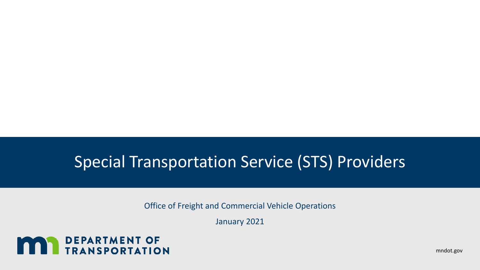Office of Freight and Commercial Vehicle Operations

January 2021



mndot.gov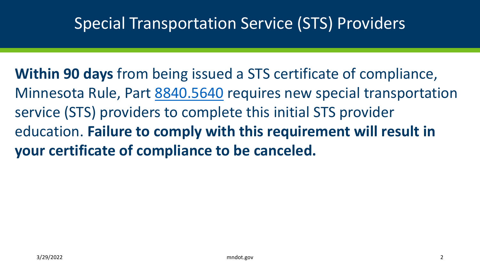**Within 90 days** from being issued a STS certificate of compliance, Minnesota Rule, Part [8840.5640](https://www.revisor.mn.gov/rules/8840.5640/) requires new special transportation service (STS) providers to complete this initial STS provider education. **Failure to comply with this requirement will result in your certificate of compliance to be canceled.**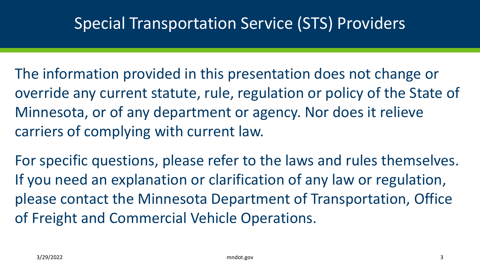- The information provided in this presentation does not change or override any current statute, rule, regulation or policy of the State of Minnesota, or of any department or agency. Nor does it relieve carriers of complying with current law.
- For specific questions, please refer to the laws and rules themselves. If you need an explanation or clarification of any law or regulation, please contact the Minnesota Department of Transportation, Office of Freight and Commercial Vehicle Operations.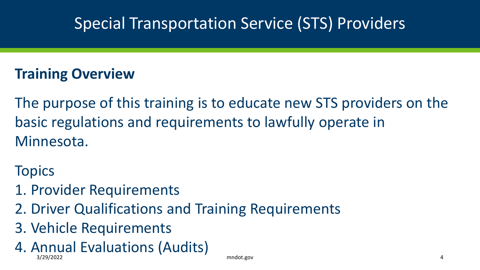#### **Training Overview**

The purpose of this training is to educate new STS providers on the basic regulations and requirements to lawfully operate in Minnesota.

**Topics** 

- 1. Provider Requirements
- 2. Driver Qualifications and Training Requirements
- 3. Vehicle Requirements
- 4. Annual Evaluations (Audits) 3/29/2022 mndot.gov 4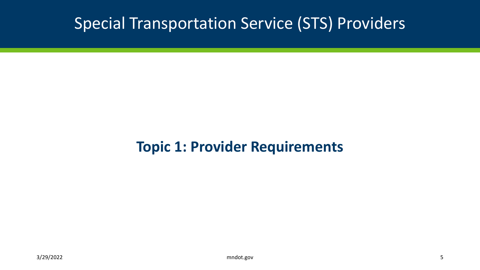#### **Topic 1: Provider Requirements**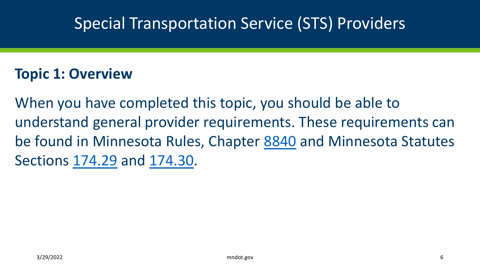#### **Topic 1: Overview**

When you have completed this topic, you should be able to understand general provider requirements. These requirements can be found in Minnesota Rules, Chapter [8840](https://www.revisor.mn.gov/rules/8840/) and Minnesota Statutes Sections [174.29](https://www.revisor.mn.gov/statutes/cite/174.29) and [174.30.](https://www.revisor.mn.gov/statutes/cite/174.30)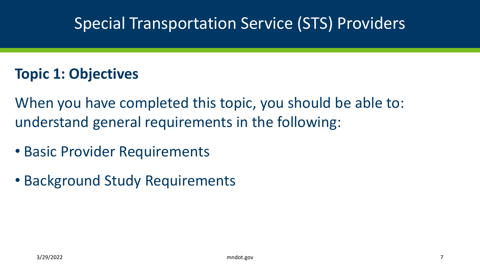#### **Topic 1: Objectives**

When you have completed this topic, you should be able to: understand general requirements in the following:

- Basic Provider Requirements
- Background Study Requirements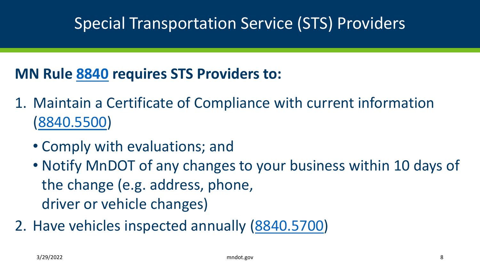- 1. Maintain a Certificate of Compliance with current information [\(8840.5500\)](https://www.revisor.mn.gov/rules/8840.5500/)
	- Comply with evaluations; and
	- Notify MnDOT of any changes to your business within 10 days of the change (e.g. address, phone, driver or vehicle changes)
- 2. Have vehicles inspected annually ([8840.5700\)](https://www.revisor.mn.gov/rules/8840.5700/)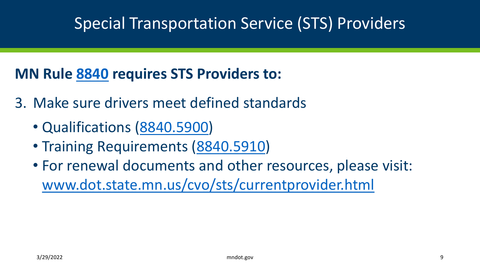- 3. Make sure drivers meet defined standards
	- Qualifications [\(8840.5900](https://www.revisor.mn.gov/rules/8840.5900/))
	- Training Requirements [\(8840.5910\)](https://www.revisor.mn.gov/rules/8840.5910/)
	- For renewal documents and other resources, please visit: [www.dot.state.mn.us/cvo/sts/currentprovider.html](http://www.dot.state.mn.us/cvo/sts/currentprovider.html)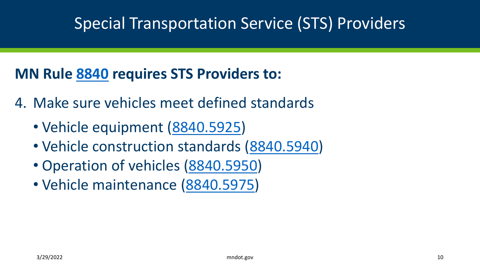- 4. Make sure vehicles meet defined standards
	- Vehicle equipment [\(8840.5925](https://www.revisor.mn.gov/rules/8840.5925/))
	- Vehicle construction standards [\(8840.5940\)](https://www.revisor.mn.gov/rules/8840.5940/)
	- Operation of vehicles [\(8840.5950\)](https://www.revisor.mn.gov/rules/8840.5950/)
	- Vehicle maintenance ([8840.5975](https://www.revisor.mn.gov/rules/8840.5975/))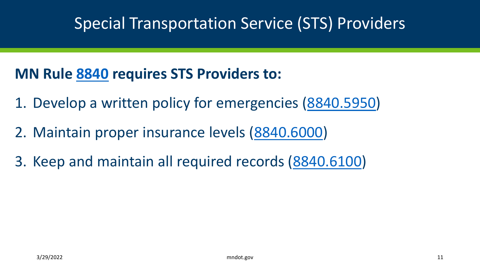- 1. Develop a written policy for emergencies [\(8840.5950\)](https://www.revisor.mn.gov/rules/8840.5950/)
- 2. Maintain proper insurance levels [\(8840.6000\)](https://www.revisor.mn.gov/rules/8840.6000/)
- 3. Keep and maintain all required records ([8840.6100](https://www.revisor.mn.gov/rules/8840.6100/))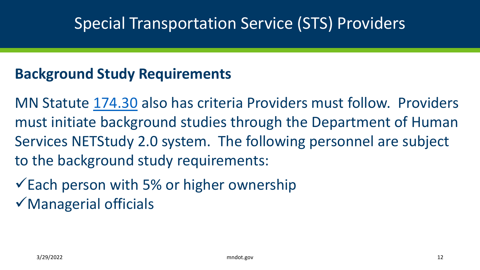#### **Background Study Requirements**

MN Statute [174.30](https://www.revisor.mn.gov/statutes/cite/174.30) also has criteria Providers must follow. Providers must initiate background studies through the Department of Human Services NETStudy 2.0 system. The following personnel are subject to the background study requirements:

 $\checkmark$  Each person with 5% or higher ownership  $\checkmark$  Managerial officials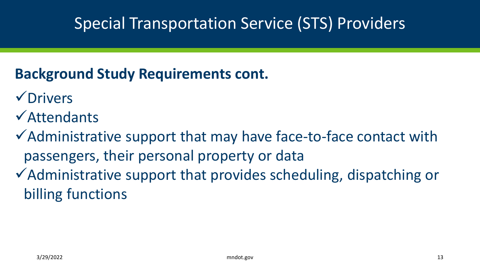### **Background Study Requirements cont.**

- **√Drivers**
- Attendants
- $\checkmark$  Administrative support that may have face-to-face contact with passengers, their personal property or data
- Administrative support that provides scheduling, dispatching or billing functions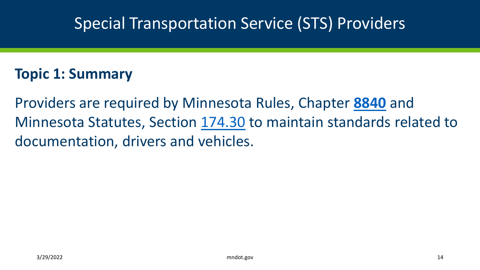#### **Topic 1: Summary**

Providers are required by Minnesota Rules, Chapter **[8840](https://www.revisor.mn.gov/rules/8840/)** and Minnesota Statutes, Section [174.30](https://www.revisor.mn.gov/statutes/cite/174.30) to maintain standards related to documentation, drivers and vehicles.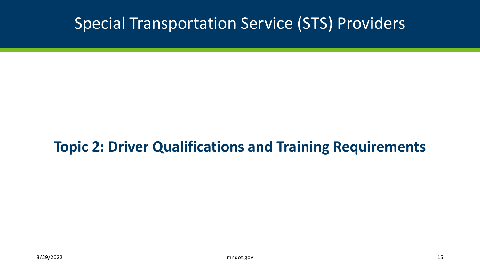#### **Topic 2: Driver Qualifications and Training Requirements**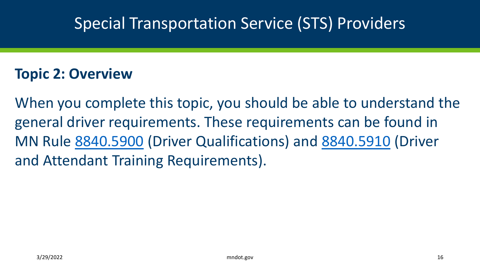#### **Topic 2: Overview**

When you complete this topic, you should be able to understand the general driver requirements. These requirements can be found in MN Rule [8840.5900](https://www.revisor.mn.gov/rules/8840.5900/) (Driver Qualifications) and [8840.5910](https://www.revisor.mn.gov/rules/8840.5910/) (Driver and Attendant Training Requirements).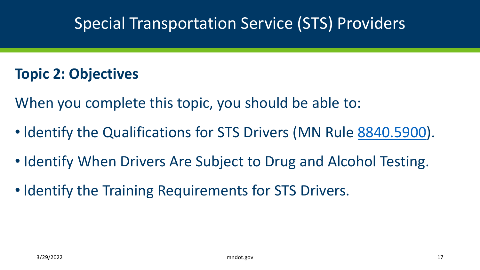#### **Topic 2: Objectives**

When you complete this topic, you should be able to:

- Identify the Qualifications for STS Drivers (MN Rule [8840.5900\)](https://www.revisor.mn.gov/rules/8840.5900/).
- Identify When Drivers Are Subject to Drug and Alcohol Testing.
- Identify the Training Requirements for STS Drivers.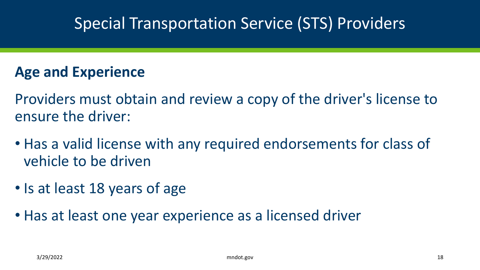#### **Age and Experience**

Providers must obtain and review a copy of the driver's license to ensure the driver:

- Has a valid license with any required endorsements for class of vehicle to be driven
- Is at least 18 years of age
- Has at least one year experience as a licensed driver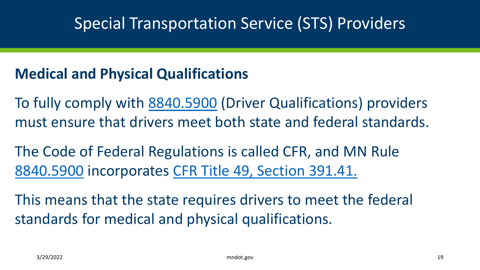#### **Medical and Physical Qualifications**

To fully comply with [8840.5900](https://www.revisor.mn.gov/rules/8840.5900/) (Driver Qualifications) providers must ensure that drivers meet both state and federal standards.

The Code of Federal Regulations is called CFR, and MN Rule [8840.5900](https://www.revisor.mn.gov/rules/8840.5900/) incorporates [CFR Title 49, Section 391.41.](https://www.ecfr.gov/cgi-bin/retrieveECFR?gp=1&ty=HTML&h=L&mc=true&=PART&n=pt49.5.391#se49.5.391_141)

This means that the state requires drivers to meet the federal standards for medical and physical qualifications.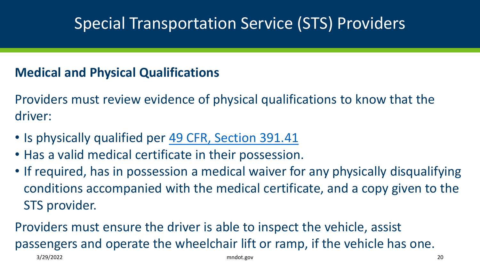#### **Medical and Physical Qualifications**

Providers must review evidence of physical qualifications to know that the driver:

- Is physically qualified per [49 CFR, Section 391.41](https://www.ecfr.gov/cgi-bin/retrieveECFR?gp=1&ty=HTML&h=L&mc=true&=PART&n=pt49.5.391)
- Has a valid medical certificate in their possession.
- If required, has in possession a medical waiver for any physically disqualifying conditions accompanied with the medical certificate, and a copy given to the STS provider.

Providers must ensure the driver is able to inspect the vehicle, assist passengers and operate the wheelchair lift or ramp, if the vehicle has one. 3/29/2022 mndot.gov 20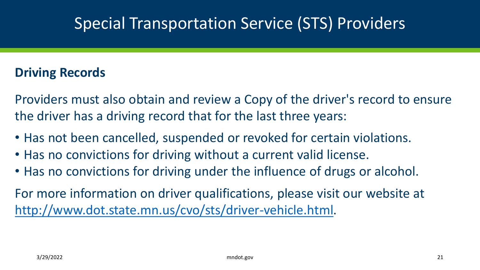#### **Driving Records**

Providers must also obtain and review a Copy of the driver's record to ensure the driver has a driving record that for the last three years:

- Has not been cancelled, suspended or revoked for certain violations.
- Has no convictions for driving without a current valid license.
- Has no convictions for driving under the influence of drugs or alcohol.

For more information on driver qualifications, please visit our website at [http://www.dot.state.mn.us/cvo/sts/driver-vehicle.html.](http://www.dot.state.mn.us/cvo/sts/driver-vehicle.html)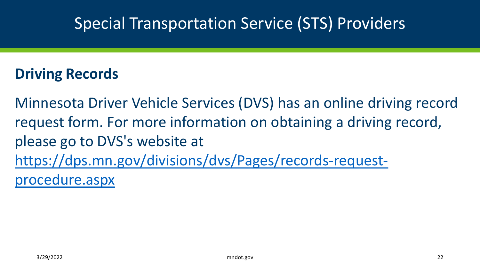#### **Driving Records**

Minnesota Driver Vehicle Services (DVS) has an online driving record request form. For more information on obtaining a driving record, please go to DVS's website at [https://dps.mn.gov/divisions/dvs/Pages/records-request](https://dps.mn.gov/divisions/dvs/Pages/records-request-procedure.aspx)procedure.aspx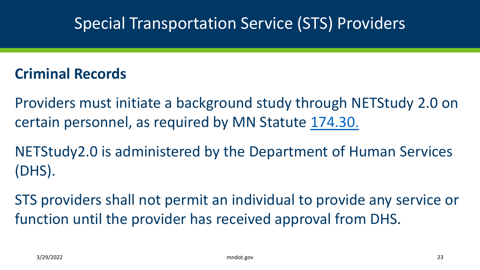#### **Criminal Records**

Providers must initiate a background study through NETStudy 2.0 on certain personnel, as required by MN Statute [174.30.](https://www.revisor.mn.gov/statutes/cite/174.30)

NETStudy2.0 is administered by the Department of Human Services (DHS).

STS providers shall not permit an individual to provide any service or function until the provider has received approval from DHS.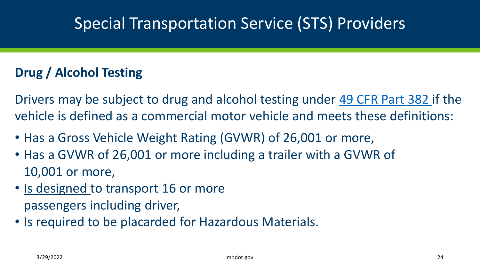#### **Drug / Alcohol Testing**

Drivers may be subject to drug and alcohol testing under [49 CFR Part 382 i](https://www.ecfr.gov/cgi-bin/retrieveECFR?gp=1&ty=HTML&h=L&mc=true&=PART&n=pt49.5.382)f the vehicle is defined as a commercial motor vehicle and meets these definitions:

- Has a Gross Vehicle Weight Rating (GVWR) of 26,001 or more,
- Has a GVWR of 26,001 or more including a trailer with a GVWR of 10,001 or more,
- Is designed to transport 16 or more passengers including driver,
- Is required to be placarded for Hazardous Materials.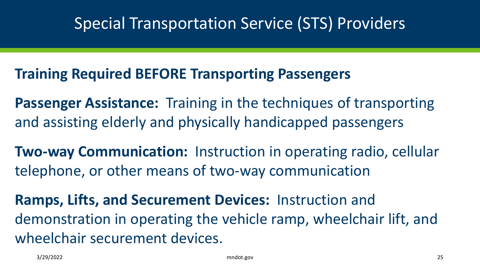#### **Training Required BEFORE Transporting Passengers**

**Passenger Assistance:** Training in the techniques of transporting and assisting elderly and physically handicapped passengers

**Two-way Communication:** Instruction in operating radio, cellular telephone, or other means of two-way communication

**Ramps, Lifts, and Securement Devices:** Instruction and demonstration in operating the vehicle ramp, wheelchair lift, and wheelchair securement devices.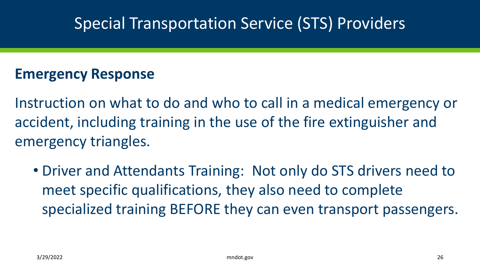#### **Emergency Response**

Instruction on what to do and who to call in a medical emergency or accident, including training in the use of the fire extinguisher and emergency triangles.

• Driver and Attendants Training: Not only do STS drivers need to meet specific qualifications, they also need to complete specialized training BEFORE they can even transport passengers.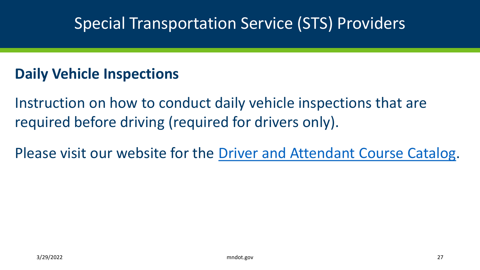#### **Daily Vehicle Inspections**

Instruction on how to conduct daily vehicle inspections that are required before driving (required for drivers only).

Please visit our website for the [Driver and Attendant Course Catalog](http://www.dot.state.mn.us/cvo/sts/driver-vehicle.html).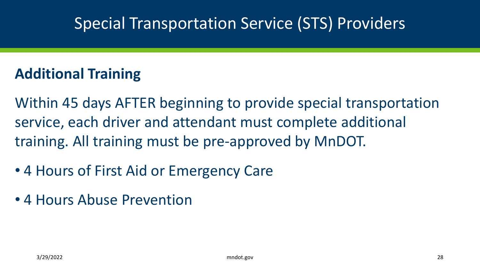### **Additional Training**

Within 45 days AFTER beginning to provide special transportation service, each driver and attendant must complete additional training. All training must be pre-approved by MnDOT.

- 4 Hours of First Aid or Emergency Care
- 4 Hours Abuse Prevention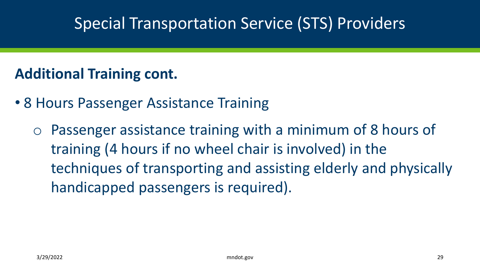#### **Additional Training cont.**

- 8 Hours Passenger Assistance Training
	- o Passenger assistance training with a minimum of 8 hours of training (4 hours if no wheel chair is involved) in the techniques of transporting and assisting elderly and physically handicapped passengers is required).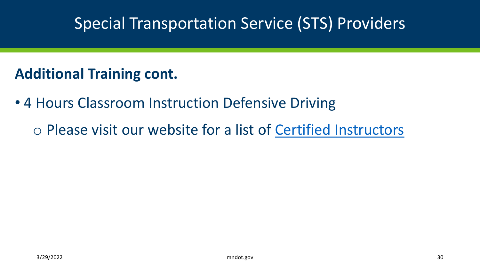#### **Additional Training cont.**

- 4 Hours Classroom Instruction Defensive Driving
	- o Please visit our website for a list of [Certified Instructors](http://www.dot.state.mn.us/cvo/sts/driver-vehicle.html)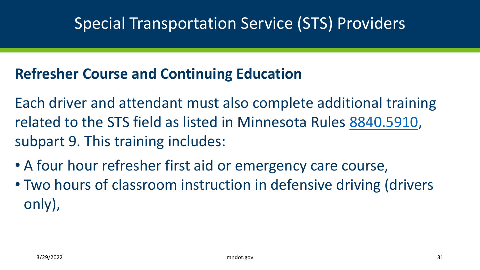#### **Refresher Course and Continuing Education**

Each driver and attendant must also complete additional training related to the STS field as listed in Minnesota Rules [8840.5910,](https://www.revisor.mn.gov/rules/8840.5910/) subpart 9. This training includes:

- A four hour refresher first aid or emergency care course,
- Two hours of classroom instruction in defensive driving (drivers only),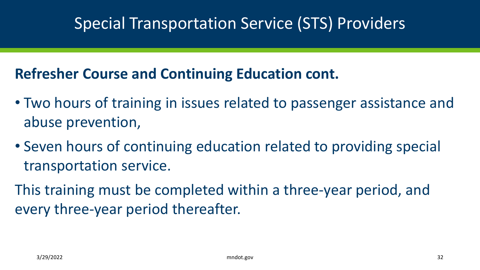#### **Refresher Course and Continuing Education cont.**

- Two hours of training in issues related to passenger assistance and abuse prevention,
- Seven hours of continuing education related to providing special transportation service.
- This training must be completed within a three-year period, and every three-year period thereafter.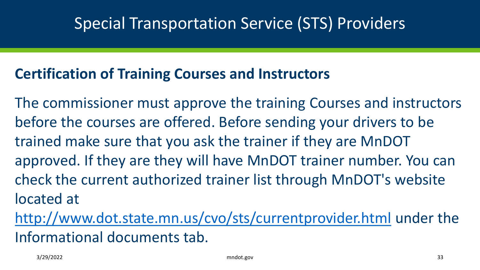#### **Certification of Training Courses and Instructors**

The commissioner must approve the training Courses and instructors before the courses are offered. Before sending your drivers to be trained make sure that you ask the trainer if they are MnDOT approved. If they are they will have MnDOT trainer number. You can check the current authorized trainer list through MnDOT's website located at

<http://www.dot.state.mn.us/cvo/sts/currentprovider.html> under the Informational documents tab.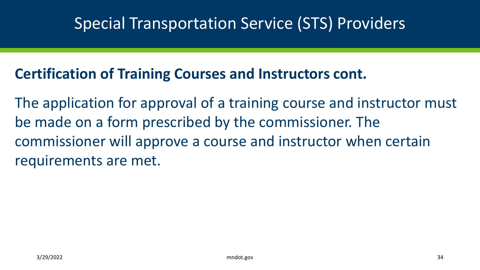#### **Certification of Training Courses and Instructors cont.**

The application for approval of a training course and instructor must be made on a form prescribed by the commissioner. The commissioner will approve a course and instructor when certain requirements are met.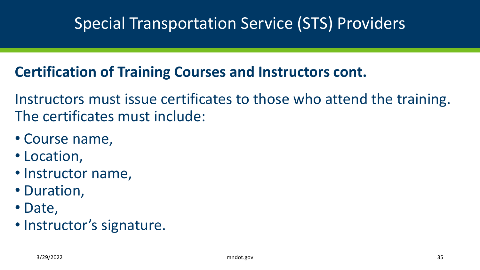### **Certification of Training Courses and Instructors cont.**

Instructors must issue certificates to those who attend the training. The certificates must include:

- Course name,
- Location,
- Instructor name,
- Duration,
- Date,
- Instructor's signature.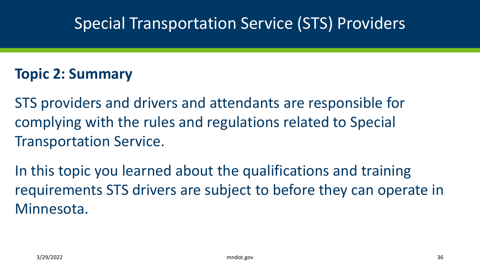#### **Topic 2: Summary**

STS providers and drivers and attendants are responsible for complying with the rules and regulations related to Special Transportation Service.

In this topic you learned about the qualifications and training requirements STS drivers are subject to before they can operate in Minnesota.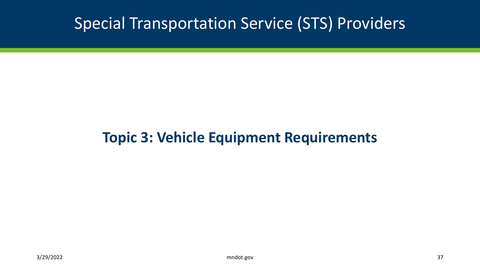#### **Topic 3: Vehicle Equipment Requirements**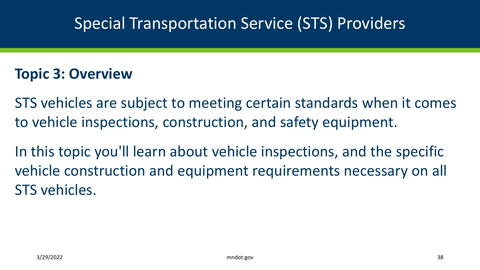#### **Topic 3: Overview**

STS vehicles are subject to meeting certain standards when it comes to vehicle inspections, construction, and safety equipment.

In this topic you'll learn about vehicle inspections, and the specific vehicle construction and equipment requirements necessary on all STS vehicles.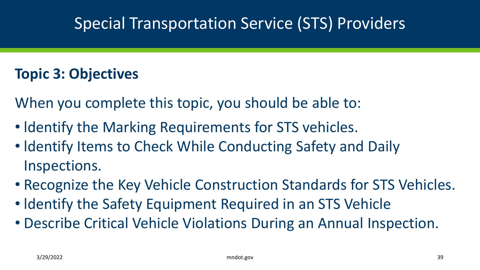#### **Topic 3: Objectives**

When you complete this topic, you should be able to:

- ldentify the Marking Requirements for STS vehicles.
- Identify Items to Check While Conducting Safety and Daily Inspections.
- Recognize the Key Vehicle Construction Standards for STS Vehicles.
- ldentify the Safety Equipment Required in an STS Vehicle
- Describe Critical Vehicle Violations During an Annual Inspection.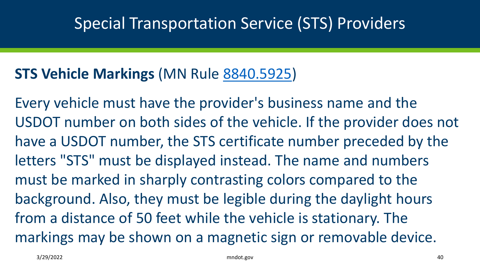#### **STS Vehicle Markings** (MN Rule [8840.5925\)](https://www.revisor.mn.gov/rules/8840.5925/)

Every vehicle must have the provider's business name and the USDOT number on both sides of the vehicle. If the provider does not have a USDOT number, the STS certificate number preceded by the letters "STS" must be displayed instead. The name and numbers must be marked in sharply contrasting colors compared to the background. Also, they must be legible during the daylight hours from a distance of 50 feet while the vehicle is stationary. The markings may be shown on a magnetic sign or removable device.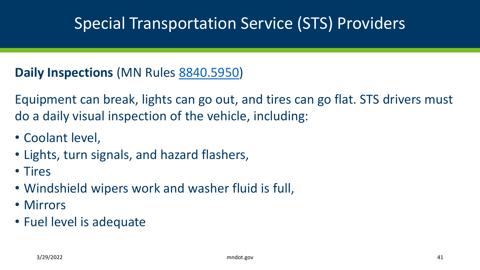#### **Daily Inspections** (MN Rules [8840.5950\)](https://www.revisor.mn.gov/rules/8840.5950/)

Equipment can break, lights can go out, and tires can go flat. STS drivers must do a daily visual inspection of the vehicle, including:

- Coolant level,
- Lights, turn signals, and hazard flashers,
- Tires
- Windshield wipers work and washer fluid is full,
- Mirrors
- Fuel level is adequate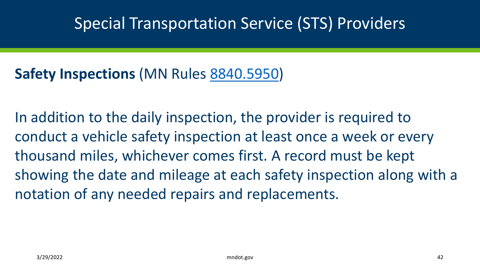### **Safety Inspections** (MN Rules [8840.5950\)](https://www.revisor.mn.gov/rules/8840.5950/)

In addition to the daily inspection, the provider is required to conduct a vehicle safety inspection at least once a week or every thousand miles, whichever comes first. A record must be kept showing the date and mileage at each safety inspection along with a notation of any needed repairs and replacements.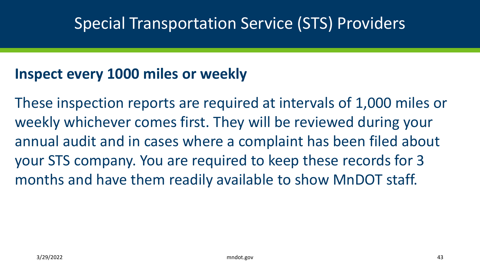#### **Inspect every 1000 miles or weekly**

These inspection reports are required at intervals of 1,000 miles or weekly whichever comes first. They will be reviewed during your annual audit and in cases where a complaint has been filed about your STS company. You are required to keep these records for 3 months and have them readily available to show MnDOT staff.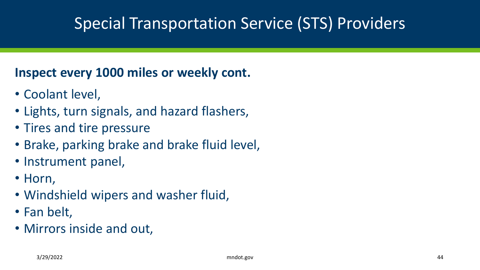#### **Inspect every 1000 miles or weekly cont.**

- Coolant level,
- Lights, turn signals, and hazard flashers,
- Tires and tire pressure
- Brake, parking brake and brake fluid level,
- Instrument panel,
- Horn,
- Windshield wipers and washer fluid,
- Fan belt,
- Mirrors inside and out,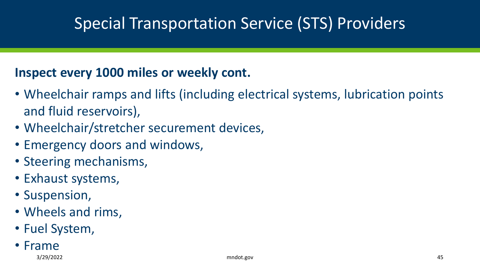#### **Inspect every 1000 miles or weekly cont.**

- Wheelchair ramps and lifts (including electrical systems, lubrication points and fluid reservoirs),
- Wheelchair/stretcher securement devices,
- Emergency doors and windows,
- Steering mechanisms,
- Exhaust systems,
- Suspension,
- Wheels and rims,
- Fuel System,
- Frame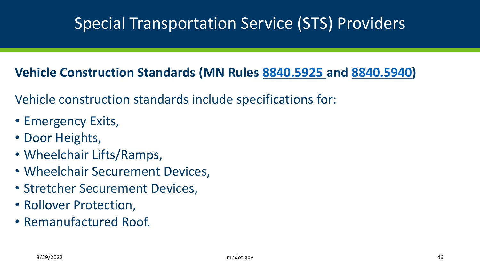#### **Vehicle Construction Standards (MN Rules [8840.5925](https://www.revisor.mn.gov/rules/8840.5925/) and [8840.5940](https://www.revisor.mn.gov/rules/8840.5940/))**

Vehicle construction standards include specifications for:

- Emergency Exits,
- Door Heights,
- Wheelchair Lifts/Ramps,
- Wheelchair Securement Devices,
- Stretcher Securement Devices,
- Rollover Protection,
- Remanufactured Roof.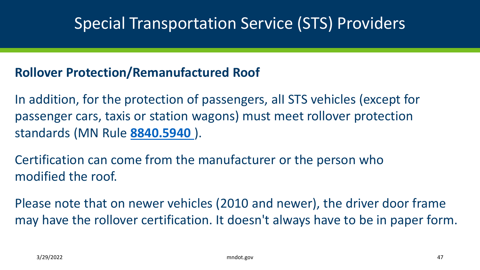#### **Rollover Protection/Remanufactured Roof**

In addition, for the protection of passengers, alI STS vehicles (except for passenger cars, taxis or station wagons) must meet rollover protection standards (MN Rule **[8840.5940](https://www.revisor.mn.gov/rules/8840.5940/)** ).

Certification can come from the manufacturer or the person who modified the roof.

Please note that on newer vehicles (2010 and newer), the driver door frame may have the rollover certification. It doesn't always have to be in paper form.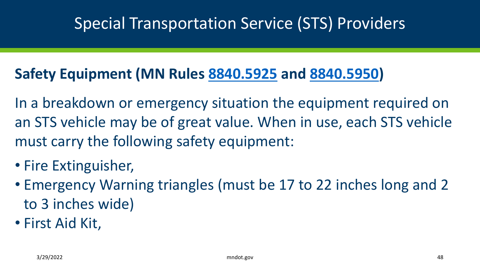#### **Safety Equipment (MN Rules [8840.5925](https://www.revisor.mn.gov/rules/8840.5925/) and [8840.5950\)](https://www.revisor.mn.gov/rules/8840.5950/)**

In a breakdown or emergency situation the equipment required on an STS vehicle may be of great value. When in use, each STS vehicle must carry the following safety equipment:

- Fire Extinguisher,
- Emergency Warning triangles (must be 17 to 22 inches long and 2 to 3 inches wide)
- First Aid Kit,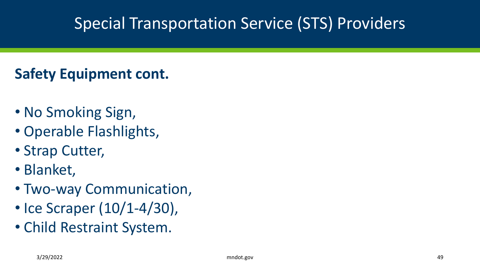### **Safety Equipment cont.**

- No Smoking Sign,
- Operable Flashlights,
- Strap Cutter,
- Blanket,
- Two-way Communication,
- Ice Scraper (10/1-4/30),
- Child Restraint System.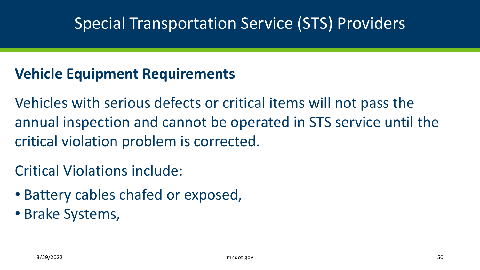#### **Vehicle Equipment Requirements**

Vehicles with serious defects or critical items will not pass the annual inspection and cannot be operated in STS service until the critical violation problem is corrected.

#### Critical Violations include:

- Battery cables chafed or exposed,
- Brake Systems,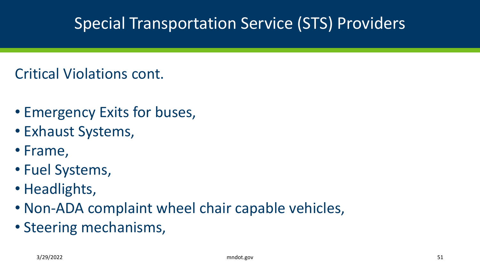#### Critical Violations cont.

- Emergency Exits for buses,
- Exhaust Systems,
- Frame,
- Fuel Systems,
- Headlights,
- Non-ADA complaint wheel chair capable vehicles,
- Steering mechanisms,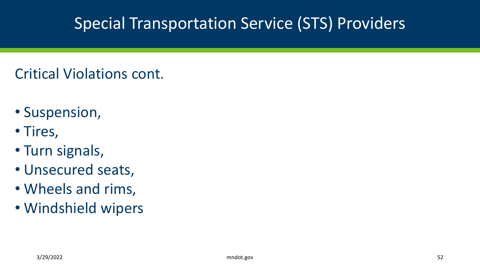### Critical Violations cont.

- Suspension,
- Tires,
- Turn signals,
- Unsecured seats,
- Wheels and rims,
- Windshield wipers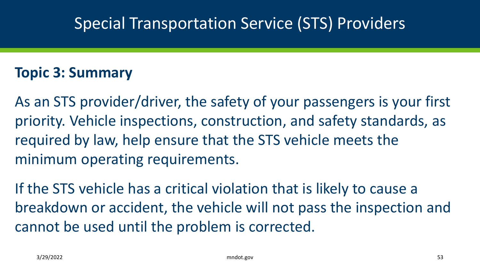#### **Topic 3: Summary**

As an STS provider/driver, the safety of your passengers is your first priority. Vehicle inspections, construction, and safety standards, as required by law, help ensure that the STS vehicle meets the minimum operating requirements.

If the STS vehicle has a critical violation that is likely to cause a breakdown or accident, the vehicle will not pass the inspection and cannot be used until the problem is corrected.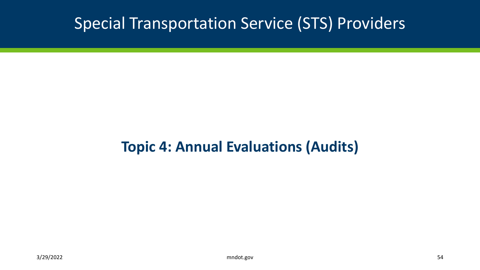#### **Topic 4: Annual Evaluations (Audits)**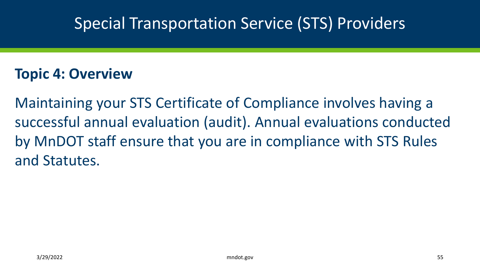#### **Topic 4: Overview**

Maintaining your STS Certificate of Compliance involves having a successful annual evaluation (audit). Annual evaluations conducted by MnDOT staff ensure that you are in compliance with STS Rules and Statutes.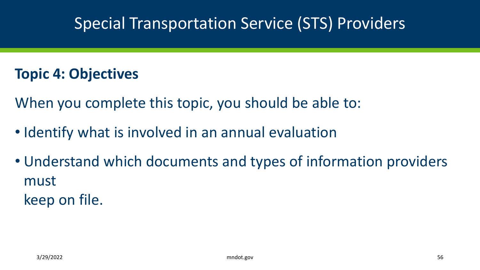#### **Topic 4: Objectives**

When you complete this topic, you should be able to:

- Identify what is involved in an annual evaluation
- Understand which documents and types of information providers must

keep on file.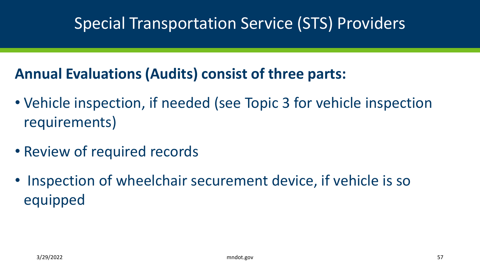#### **Annual Evaluations (Audits) consist of three parts:**

- Vehicle inspection, if needed (see Topic 3 for vehicle inspection requirements)
- Review of required records
- Inspection of wheelchair securement device, if vehicle is so equipped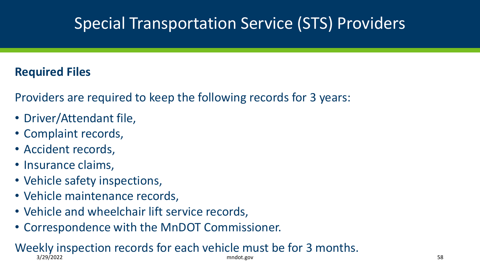#### **Required Files**

Providers are required to keep the following records for 3 years:

- Driver/Attendant file,
- Complaint records,
- Accident records,
- Insurance claims,
- Vehicle safety inspections,
- Vehicle maintenance records,
- Vehicle and wheelchair lift service records,
- Correspondence with the MnDOT Commissioner.

#### Weekly inspection records for each vehicle must be for 3 months. 3/29/2022 mndot.gov 58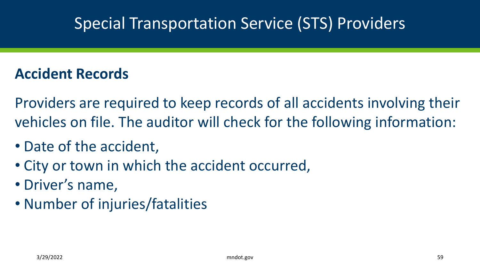#### **Accident Records**

Providers are required to keep records of all accidents involving their vehicles on file. The auditor will check for the following information:

- Date of the accident,
- City or town in which the accident occurred,
- Driver's name,
- Number of injuries/fatalities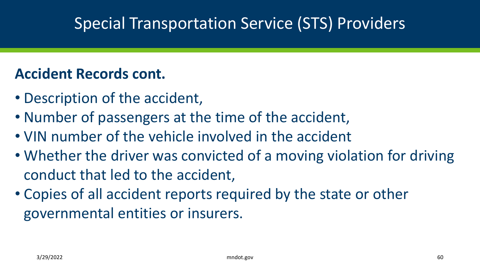#### **Accident Records cont.**

- Description of the accident,
- Number of passengers at the time of the accident,
- VIN number of the vehicle involved in the accident
- Whether the driver was convicted of a moving violation for driving conduct that led to the accident,
- Copies of all accident reports required by the state or other governmental entities or insurers.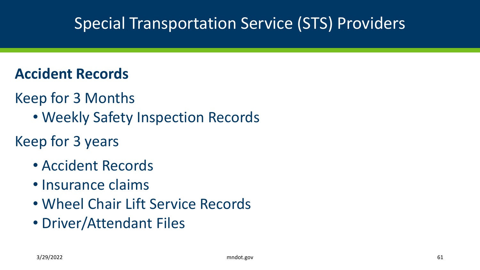#### **Accident Records**

- Keep for 3 Months
	- Weekly Safety Inspection Records

### Keep for 3 years

- Accident Records
- Insurance claims
- Wheel Chair Lift Service Records
- Driver/Attendant Files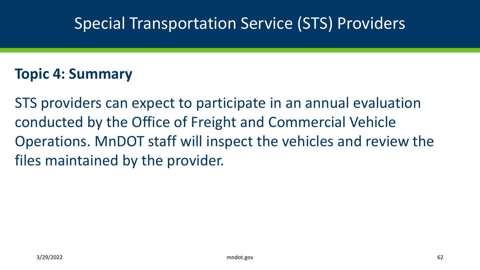#### **Topic 4: Summary**

STS providers can expect to participate in an annual evaluation conducted by the Office of Freight and Commercial Vehicle Operations. MnDOT staff will inspect the vehicles and review the files maintained by the provider.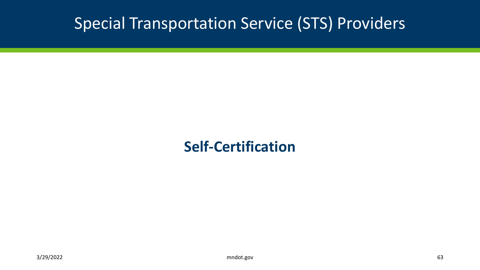#### **Self-Certification**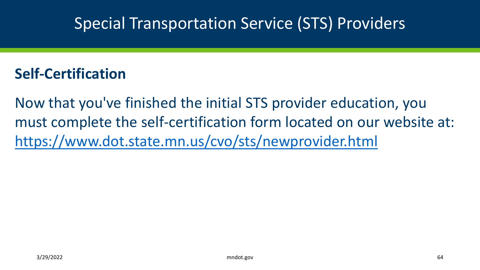#### **Self-Certification**

Now that you've finished the initial STS provider education, you must complete the self-certification form located on our website at: <https://www.dot.state.mn.us/cvo/sts/newprovider.html>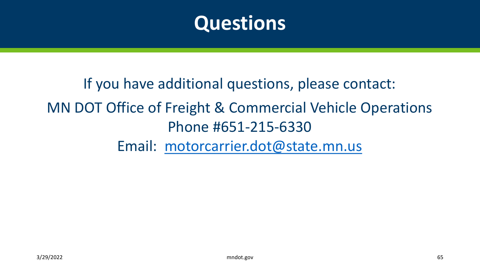

If you have additional questions, please contact: MN DOT Office of Freight & Commercial Vehicle Operations Phone #651-215-6330 Email: [motorcarrier.dot@state.mn.us](mailto:motorcarrier.dot@state.mn.us)